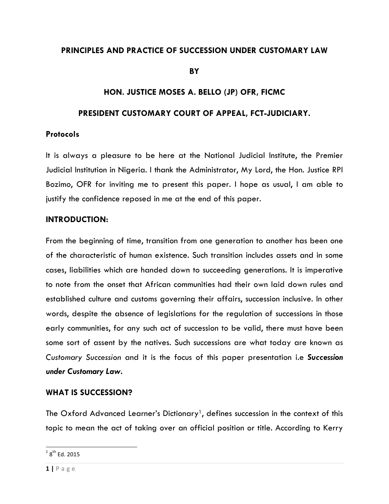#### **PRINCIPLES AND PRACTICE OF SUCCESSION UNDER CUSTOMARY LAW**

**BY** 

# **HON. JUSTICE MOSES A. BELLO (JP) OFR, FICMC**

#### **PRESIDENT CUSTOMARY COURT OF APPEAL, FCT-JUDICIARY.**

#### **Protocols**

It is always a pleasure to be here at the National Judicial Institute, the Premier Judicial Institution in Nigeria. I thank the Administrator, My Lord, the Hon. Justice RPI Bozimo, OFR for inviting me to present this paper. I hope as usual, I am able to justify the confidence reposed in me at the end of this paper.

#### **INTRODUCTION:**

From the beginning of time, transition from one generation to another has been one of the characteristic of human existence. Such transition includes assets and in some cases, liabilities which are handed down to succeeding generations. It is imperative to note from the onset that African communities had their own laid down rules and established culture and customs governing their affairs, succession inclusive. In other words, despite the absence of legislations for the regulation of successions in those early communities, for any such act of succession to be valid, there must have been some sort of assent by the natives. Such successions are what today are known as *Customary Succession* and it is the focus of this paper presentation i.e *Succession under Customary Law.*

#### **WHAT IS SUCCESSION?**

<u> 1989 - Jan Samuel Barbara, margaret e</u>

The Oxford Advanced Learner's Dictionary<sup>1</sup>, defines succession in the context of this topic to mean the act of taking over an official position or title. According to Kerry

 $1$   $8^{th}$  Fd. 2015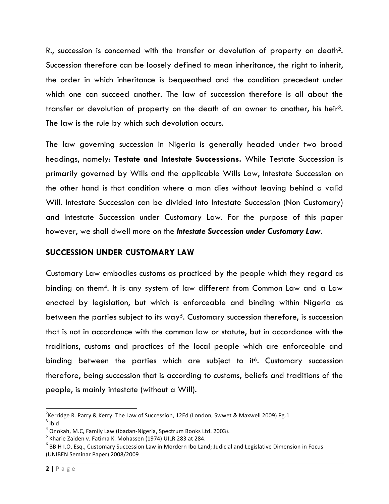R., succession is concerned with the transfer or devolution of property on death2. Succession therefore can be loosely defined to mean inheritance, the right to inherit, the order in which inheritance is bequeathed and the condition precedent under which one can succeed another. The law of succession therefore is all about the transfer or devolution of property on the death of an owner to another, his heir3. The law is the rule by which such devolution occurs.

The law governing succession in Nigeria is generally headed under two broad headings, namely: **Testate and Intestate Successions.** While Testate Succession is primarily governed by Wills and the applicable Wills Law, Intestate Succession on the other hand is that condition where a man dies without leaving behind a valid Will. Intestate Succession can be divided into Intestate Succession (Non Customary) and Intestate Succession under Customary Law. For the purpose of this paper however, we shall dwell more on the *Intestate Succession under Customary Law*.

# **SUCCESSION UNDER CUSTOMARY LAW**

Customary Law embodies customs as practiced by the people which they regard as binding on them4. It is any system of law different from Common Law and a Law enacted by legislation, but which is enforceable and binding within Nigeria as between the parties subject to its way<sup>5</sup>. Customary succession therefore, is succession that is not in accordance with the common law or statute, but in accordance with the traditions, customs and practices of the local people which are enforceable and binding between the parties which are subject to it<sup>6</sup>. Customary succession therefore, being succession that is according to customs, beliefs and traditions of the people, is mainly intestate (without a Will).

 $^2$ Kerridge R. Parry & Kerry: The Law of Succession, 12Ed (London, Swwet & Maxwell 2009) Pg.1<br> $^3$  Ibid

 $^4$  Onokah, M.C, Family Law (Ibadan-Nigeria, Spectrum Books Ltd. 2003).<br> $^5$  Kharie Zaiden v. Fatima K. Mohassen (1974) UILR 283 at 284.

 $^6$  BBIH I.O, Esq., Customary Succession Law in Mordern Ibo Land; Judicial and Legislative Dimension in Focus (UNIBEN Seminar Paper) 2008/2009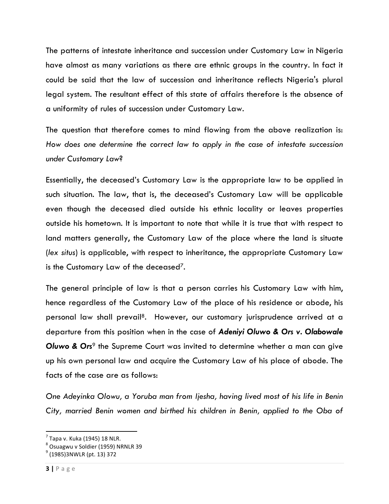The patterns of intestate inheritance and succession under Customary Law in Nigeria have almost as many variations as there are ethnic groups in the country. In fact it could be said that the law of succession and inheritance reflects Nigeria's plural legal system. The resultant effect of this state of affairs therefore is the absence of a uniformity of rules of succession under Customary Law.

The question that therefore comes to mind flowing from the above realization is: *How does one determine the correct law to apply in the case of intestate succession under Customary Law*?

Essentially, the deceased's Customary Law is the appropriate law to be applied in such situation. The law, that is, the deceased's Customary Law will be applicable even though the deceased died outside his ethnic locality or leaves properties outside his hometown. It is important to note that while it is true that with respect to land matters generally, the Customary Law of the place where the land is situate (*lex situs*) is applicable, with respect to inheritance, the appropriate Customary Law is the Customary Law of the deceased<sup>7</sup>.

The general principle of law is that a person carries his Customary Law with him, hence regardless of the Customary Law of the place of his residence or abode, his personal law shall prevail8. However, our customary jurisprudence arrived at a departure from this position when in the case of *Adeniyi Oluwo & Ors v. Olabowale*  **Oluwo & Ors<sup>9</sup> the Supreme Court was invited to determine whether a man can give** up his own personal law and acquire the Customary Law of his place of abode. The facts of the case are as follows:

*One Adeyinka Olowu, a Yoruba man from Ijesha, having lived most of his life in Benin City, married Benin women and birthed his children in Benin, applied to the Oba of* 

 $<sup>7</sup>$  Tapa v. Kuka (1945) 18 NLR.</sup>

 $8$  Osuagwu v Soldier (1959) NRNLR 39

 $^{9}$  (1985)3NWLR (pt. 13) 372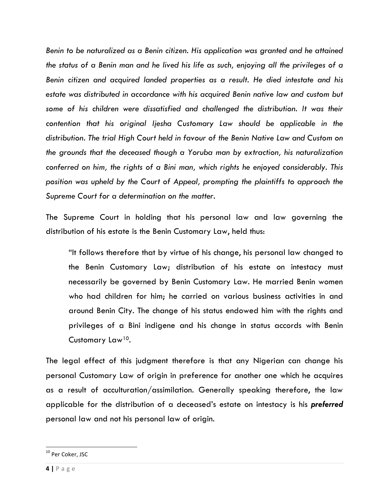*Benin to be naturalized as a Benin citizen. His application was granted and he attained the status of a Benin man and he lived his life as such, enjoying all the privileges of a Benin citizen and acquired landed properties as a result. He died intestate and his estate was distributed in accordance with his acquired Benin native law and custom but some of his children were dissatisfied and challenged the distribution. It was their contention that his original Ijesha Customary Law should be applicable in the distribution. The trial High Court held in favour of the Benin Native Law and Custom on the grounds that the deceased though a Yoruba man by extraction, his naturalization conferred on him, the rights of a Bini man, which rights he enjoyed considerably. This position was upheld by the Court of Appeal, prompting the plaintiffs to approach the Supreme Court for a determination on the matter.*

The Supreme Court in holding that his personal law and law governing the distribution of his estate is the Benin Customary Law, held thus:

"It follows therefore that by virtue of his change, his personal law changed to the Benin Customary Law; distribution of his estate on intestacy must necessarily be governed by Benin Customary Law. He married Benin women who had children for him; he carried on various business activities in and around Benin City. The change of his status endowed him with the rights and privileges of a Bini indigene and his change in status accords with Benin Customary Law10.

The legal effect of this judgment therefore is that any Nigerian can change his personal Customary Law of origin in preference for another one which he acquires as a result of acculturation/assimilation. Generally speaking therefore, the law applicable for the distribution of a deceased's estate on intestacy is his *preferred* personal law and not his personal law of origin.

<sup>&</sup>lt;sup>10</sup> Per Coker, JSC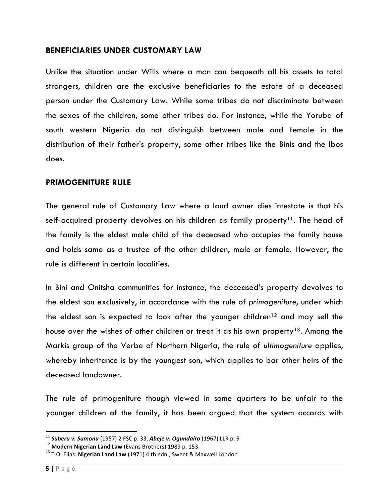#### **BENEFICIARIES UNDER CUSTOMARY LAW**

Unlike the situation under Wills where a man can bequeath all his assets to total strangers, children are the exclusive beneficiaries to the estate of a deceased person under the Customary Law. While some tribes do not discriminate between the sexes of the children, some other tribes do. For instance, while the Yoruba of south western Nigeria do not distinguish between male and female in the distribution of their father's property, some other tribes like the Binis and the Ibos does.

#### **PRIMOGENITURE RULE**

The general rule of Customary Law where a land owner dies intestate is that his self-acquired property devolves on his children as family property<sup>11</sup>. The head of the family is the eldest male child of the deceased who occupies the family house and holds same as a trustee of the other children, male or female. However, the rule is different in certain localities.

In Bini and Onitsha communities for instance, the deceased's property devolves to the eldest son exclusively, in accordance with the rule of *primogeniture*, under which the eldest son is expected to look after the younger children<sup>12</sup> and may sell the house over the wishes of other children or treat it as his own property<sup>13</sup>. Among the Markis group of the Verbe of Northern Nigeria, the rule of *ultimogeniture* applies, whereby inheritance is by the youngest son, which applies to bar other heirs of the deceased landowner.

The rule of primogeniture though viewed in some quarters to be unfair to the younger children of the family, it has been argued that the system accords with

<sup>&</sup>lt;sup>11</sup> Suberu v. Sumonu (1957) 2 FSC p. 33, Abeje v. Ogundairo (1967) LLR p. 9<br><sup>12</sup> Modern Nigerian Land Law (Evans Brothers) 1989 p. 153.<br><sup>13</sup> T.O. Elias: Nigerian Land Law (1971) 4 th edn., Sweet & Maxwell London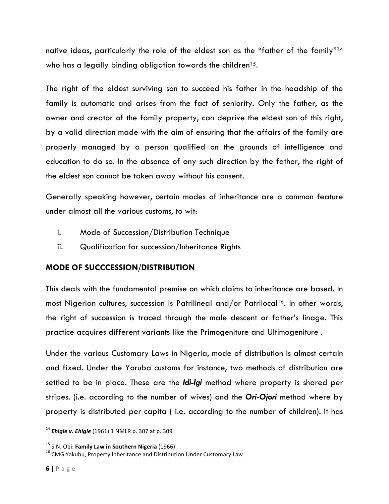native ideas, particularly the role of the eldest son as the "father of the family"14 who has a legally binding obligation towards the children<sup>15</sup>.

The right of the eldest surviving son to succeed his father in the headship of the family is automatic and arises from the fact of seniority. Only the father, as the owner and creator of the family property, can deprive the eldest son of this right, by a valid direction made with the aim of ensuring that the affairs of the family are properly managed by a person qualified on the grounds of intelligence and education to do so. In the absence of any such direction by the father, the right of the eldest son cannot be taken away without his consent.

Generally speaking however, certain modes of inheritance are a common feature under almost all the various customs, to wit:

- i. Mode of Succession/Distribution Technique
- ii. Qualification for succession/Inheritance Rights

# **MODE OF SUCCCESSION/DISTRIBUTION**

This deals with the fundamental premise on which claims to inheritance are based. In most Nigerian cultures, succession is Patrilineal and/or Patrilocal<sup>16</sup>. In other words, the right of succession is traced through the male descent or father's linage. This practice acquires different variants like the Primogeniture and Ultimogeniture .

Under the various Customary Laws in Nigeria, mode of distribution is almost certain and fixed. Under the Yoruba customs for instance, two methods of distribution are settled to be in place. These are the *Idi-Igi* method where property is shared per stripes. (i.e. according to the number of wives) and the *Ori-Ojori* method where by property is distributed per capita ( i.e. according to the number of children). It has

<sup>&</sup>lt;sup>14</sup> *Ehigie v. Ehigie* (1961) 1 NMLR p. 307 at p. 309

<sup>&</sup>lt;sup>15</sup> S.N. Obi: **Family Law in Southern Nigeria** (1966)<br><sup>16</sup> CMG Yakubu, Property Inheritance and Distribution Under Customary Law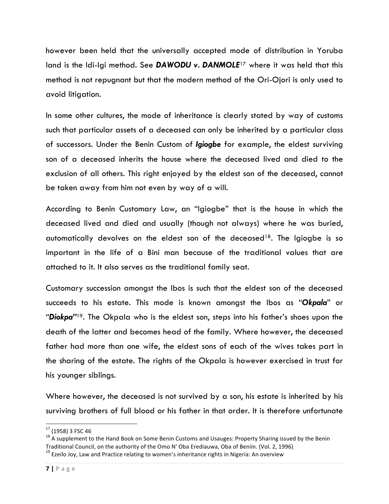however been held that the universally accepted mode of distribution in Yoruba land is the Idi-Igi method. See *DAWODU v. DANMOLE*<sup>17</sup> where it was held that this method is not repugnant but that the modern method of the Ori-Ojori is only used to avoid litigation.

In some other cultures, the mode of inheritance is clearly stated by way of customs such that particular assets of a deceased can only be inherited by a particular class of successors. Under the Benin Custom of *Igiogbe* for example, the eldest surviving son of a deceased inherits the house where the deceased lived and died to the exclusion of all others. This right enjoyed by the eldest son of the deceased, cannot be taken away from him not even by way of a will.

According to Benin Customary Law, an "Igiogbe" that is the house in which the deceased lived and died and usually (though not always) where he was buried, automatically devolves on the eldest son of the deceased<sup>18</sup>. The Igiogbe is so important in the life of a Bini man because of the traditional values that are attached to it. It also serves as the traditional family seat.

Customary succession amongst the Ibos is such that the eldest son of the deceased succeeds to his estate. This mode is known amongst the Ibos as "*Okpala*" or "*Diokpa"*19. The Okpala who is the eldest son, steps into his father's shoes upon the death of the latter and becomes head of the family. Where however, the deceased father had more than one wife, the eldest sons of each of the wives takes part in the sharing of the estate. The rights of the Okpala is however exercised in trust for his younger siblings.

Where however, the deceased is not survived by a son, his estate is inherited by his surviving brothers of full blood or his father in that order. It is therefore unfortunate

<sup>&</sup>lt;sup>17</sup> (1958) 3 FSC 46<br><sup>18</sup> A supplement to the Hand Book on Some Benin Customs and Usauges: Property Sharing issued by the Benin Traditional Council, on the authority of the Omo N' Oba Erediauwa, Oba of Beniin. (Vol. 2, 1996) <sup>19</sup> Ezeilo Jov, Law and Practice relating to women's inheritance rights in Nigeria: An overview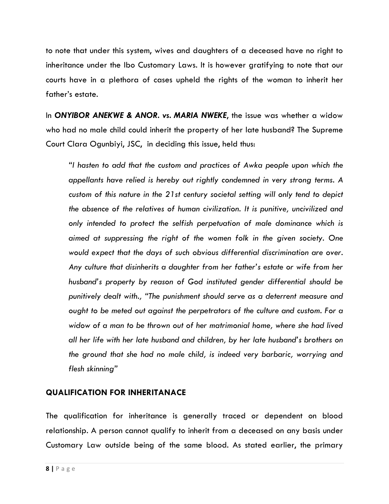to note that under this system, wives and daughters of a deceased have no right to inheritance under the Ibo Customary Laws. It is however gratifying to note that our courts have in a plethora of cases upheld the rights of the woman to inherit her father's estate.

In *ONYIBOR ANEKWE & ANOR. vs. MARIA NWEKE*, the issue was whether a widow who had no male child could inherit the property of her late husband? The Supreme Court Clara Ogunbiyi, JSC, in deciding this issue, held thus:

*"I hasten to add that the custom and practices of Awka people upon which the appellants have relied is hereby out rightly condemned in very strong terms. A custom of this nature in the 21st century societal setting will only tend to depict the absence of the relatives of human civilization. It is punitive, uncivilized and only intended to protect the selfish perpetuation of male dominance which is aimed at suppressing the right of the women folk in the given society. One would expect that the days of such obvious differential discrimination are over. Any culture that disinherits a daughter from her father's estate or wife from her husband's property by reason of God instituted gender differential should be punitively dealt with., "The punishment should serve as a deterrent measure and ought to be meted out against the perpetrators of the culture and custom. For a widow of a man to be thrown out of her matrimonial home, where she had lived all her life with her late husband and children, by her late husband's brothers on the ground that she had no male child, is indeed very barbaric, worrying and flesh skinning"*

# **QUALIFICATION FOR INHERITANACE**

The qualification for inheritance is generally traced or dependent on blood relationship. A person cannot qualify to inherit from a deceased on any basis under Customary Law outside being of the same blood. As stated earlier, the primary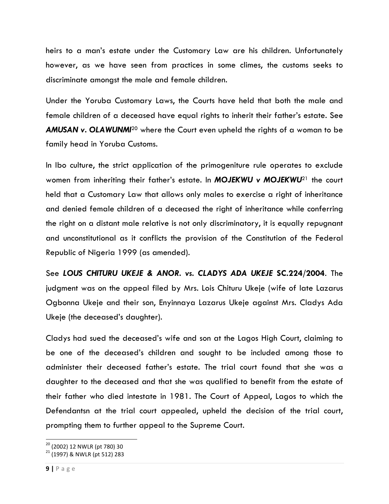heirs to a man's estate under the Customary Law are his children. Unfortunately however, as we have seen from practices in some climes, the customs seeks to discriminate amongst the male and female children.

Under the Yoruba Customary Laws, the Courts have held that both the male and female children of a deceased have equal rights to inherit their father's estate. See *AMUSAN v. OLAWUNMI*<sup>20</sup> where the Court even upheld the rights of a woman to be family head in Yoruba Customs.

In Ibo culture, the strict application of the primogeniture rule operates to exclude women from inheriting their father's estate. In *MOJEKWU v MOJEKWU*<sup>21</sup> the court held that a Customary Law that allows only males to exercise a right of inheritance and denied female children of a deceased the right of inheritance while conferring the right on a distant male relative is not only discriminatory, it is equally repugnant and unconstitutional as it conflicts the provision of the Constitution of the Federal Republic of Nigeria 1999 (as amended).

See *LOUS CHITURU UKEJE & ANOR. vs. CLADYS ADA UKEJE* **SC.224/2004**. The judgment was on the appeal filed by Mrs. Lois Chituru Ukeje (wife of late Lazarus Ogbonna Ukeje and their son, Enyinnaya Lazarus Ukeje against Mrs. Cladys Ada Ukeje (the deceased's daughter).

Cladys had sued the deceased's wife and son at the Lagos High Court, claiming to be one of the deceased's children and sought to be included among those to administer their deceased father's estate. The trial court found that she was a daughter to the deceased and that she was qualified to benefit from the estate of their father who died intestate in 1981. The Court of Appeal, Lagos to which the Defendantsn at the trial court appealed, upheld the decision of the trial court, prompting them to further appeal to the Supreme Court.

 

 $^{20}$  (2002) 12 NWLR (pt 780) 30<br> $^{21}$  (1997) & NWLR (pt 512) 283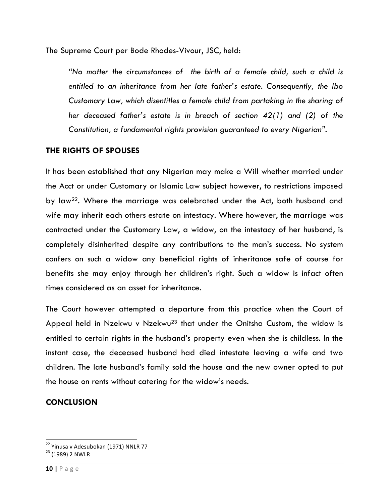The Supreme Court per Bode Rhodes-Vivour, JSC, held:

*"No matter the circumstances of the birth of a female child, such a child is entitled to an inheritance from her late father's estate. Consequently, the Ibo Customary Law, which disentitles a female child from partaking in the sharing of her deceased father's estate is in breach of section 42(1) and (2) of the Constitution, a fundamental rights provision guaranteed to every Nigerian".*

# **THE RIGHTS OF SPOUSES**

It has been established that any Nigerian may make a Will whether married under the Acct or under Customary or Islamic Law subject however, to restrictions imposed by law<sup>22</sup>. Where the marriage was celebrated under the Act, both husband and wife may inherit each others estate on intestacy. Where however, the marriage was contracted under the Customary Law, a widow, on the intestacy of her husband, is completely disinherited despite any contributions to the man's success. No system confers on such a widow any beneficial rights of inheritance safe of course for benefits she may enjoy through her children's right. Such a widow is infact often times considered as an asset for inheritance.

The Court however attempted a departure from this practice when the Court of Appeal held in Nzekwu v Nzekwu<sup>23</sup> that under the Onitsha Custom, the widow is entitled to certain rights in the husband's property even when she is childless. In the instant case, the deceased husband had died intestate leaving a wife and two children. The late husband's family sold the house and the new owner opted to put the house on rents without catering for the widow's needs.

# **CONCLUSION**

 

<sup>&</sup>lt;sup>22</sup> Yinusa v Adesubokan (1971) NNLR 77<br><sup>23</sup> (1989) 2 NWLR